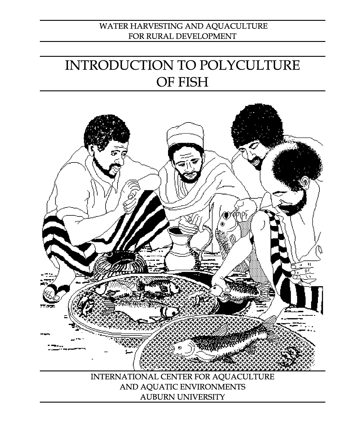## WATER HARVESTING AND AQUACULTURE FOR RURAL DEVELOPMENT

# INTRODUCTION TO POLYCULTURE OF FISH

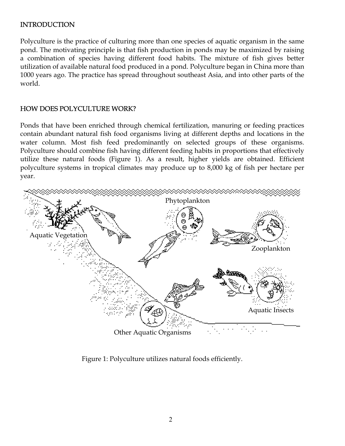#### INTRODUCTION

Polyculture is the practice of culturing more than one species of aquatic organism in the same pond. The motivating principle is that fish production in ponds may be maximized by raising a combination of species having different food habits. The mixture of fish gives better utilization of available natural food produced in a pond. Polyculture began in China more than 1000 years ago. The practice has spread throughout southeast Asia, and into other parts of the world.

### HOW DOES POLYCULTURE WORK?

Ponds that have been enriched through chemical fertilization, manuring or feeding practices contain abundant natural fish food organisms living at different depths and locations in the water column. Most fish feed predominantly on selected groups of these organisms. Polyculture should combine fish having different feeding habits in proportions that effectively utilize these natural foods (Figure 1). As a result, higher yields are obtained. Efficient polyculture systems in tropical climates may produce up to 8,000 kg of fish per hectare per year.



Figure 1: Polyculture utilizes natural foods efficiently.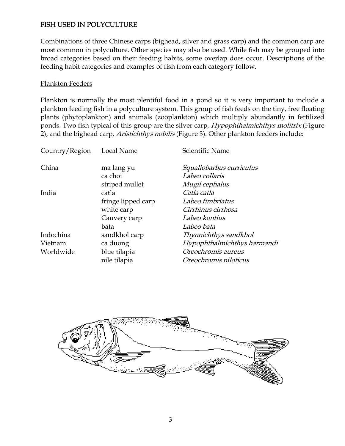### FISH USED IN POLYCULTURE

Combinations of three Chinese carps (bighead, silver and grass carp) and the common carp are most common in polyculture. Other species may also be used. While fish may be grouped into broad categories based on their feeding habits, some overlap does occur. Descriptions of the feeding habit categories and examples of fish from each category follow.

#### Plankton Feeders

Plankton is normally the most plentiful food in a pond so it is very important to include a plankton feeding fish in a polyculture system. This group of fish feeds on the tiny, free floating plants (phytoplankton) and animals (zooplankton) which multiply abundantly in fertilized ponds. Two fish typical of this group are the silver carp, *Hypophthalmichthys molitrix* (Figure 2), and the bighead carp, Aristichthys nobilis (Figure 3). Other plankton feeders include:

| Country/Region | Local Name         | Scientific Name             |  |  |  |
|----------------|--------------------|-----------------------------|--|--|--|
| China          | ma lang yu         | Squaliobarbus curriculus    |  |  |  |
|                | ca choi            | Labeo collaris              |  |  |  |
|                | striped mullet     | <i>Mugil cephalus</i>       |  |  |  |
| India          | catla              | Catla catla                 |  |  |  |
|                | fringe lipped carp | Labeo fimbriatus            |  |  |  |
|                | white carp         | Cirrhinus cirrhosa          |  |  |  |
|                | Cauvery carp       | Labeo kontius               |  |  |  |
|                | bata               | Labeo bata                  |  |  |  |
| Indochina      | sandkhol carp      | Thynnichthys sandkhol       |  |  |  |
| Vietnam        | ca duong           | Hypophthalmichthys harmandi |  |  |  |
| Worldwide      | blue tilapia       | Oreochromis aureus          |  |  |  |
|                | nile tilapia       | Oreochromis niloticus       |  |  |  |

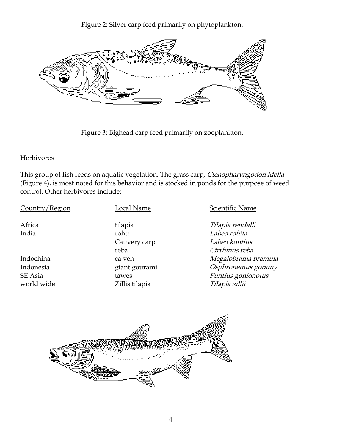Figure 2: Silver carp feed primarily on phytoplankton.



Figure 3: Bighead carp feed primarily on zooplankton.

#### Herbivores

This group of fish feeds on aquatic vegetation. The grass carp, Ctenopharyngodon idella (Figure 4), is most noted for this behavior and is stocked in ponds for the purpose of weed control. Other herbivores include:

Country/Region Local Name Scientific Name

India rohu Labeo rohita

Africa **tilapia** tilapia **tilapia tilapia rendalli** Cauvery carp **Labeo kontius** reba Cirrhinus reba Indochina a ca ven can mengalobrama bramula Indonesia external giant gourami composition of Osphronemus goramy SE Asia tawes tawes Puntius gonionotus world wide  $Z$ illis tilapia  $Tilap$ ia  $Tilap$ ia zillii

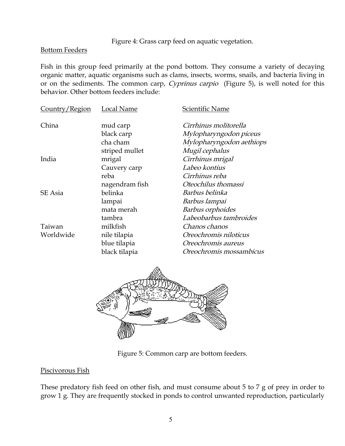Figure 4: Grass carp feed on aquatic vegetation.

#### Bottom Feeders

Fish in this group feed primarily at the pond bottom. They consume a variety of decaying organic matter, aquatic organisms such as clams, insects, worms, snails, and bacteria living in or on the sediments. The common carp, Cyprinus carpio (Figure 5), is well noted for this behavior. Other bottom feeders include:

| Country/Region | Local Name     | Scientific Name          |  |  |  |
|----------------|----------------|--------------------------|--|--|--|
| China          | mud carp       | Cirrhinus molitorella    |  |  |  |
|                | black carp     | Mylopharyngodon piceus   |  |  |  |
|                | cha cham       | Mylopharyngodon aethiops |  |  |  |
|                | striped mullet | Mugil cephalus           |  |  |  |
| India          | mrigal         | Cirrhinus mrigal         |  |  |  |
|                | Cauvery carp   | Labeo kontius            |  |  |  |
|                | reba           | Cirrhinus reba           |  |  |  |
|                | nagendram fish | Oteochilus thomassi      |  |  |  |
| SE Asia        | belinka        | Barbus belinka           |  |  |  |
|                | lampai         | Barbus lampai            |  |  |  |
|                | mata merah     | Barbus orphoides         |  |  |  |
|                | tambra         | Labeobarbus tambroides   |  |  |  |
| Taiwan         | milkfish       | Chanos chanos            |  |  |  |
| Worldwide      | nile tilapia   | Oreochromis niloticus    |  |  |  |
|                | blue tilapia   | Oreochromis aureus       |  |  |  |
|                | black tilapia  | Oreochromis mossambicus  |  |  |  |



Figure 5: Common carp are bottom feeders.

#### Piscivorous Fish

These predatory fish feed on other fish, and must consume about 5 to 7 g of prey in order to grow 1 g. They are frequently stocked in ponds to control unwanted reproduction, particularly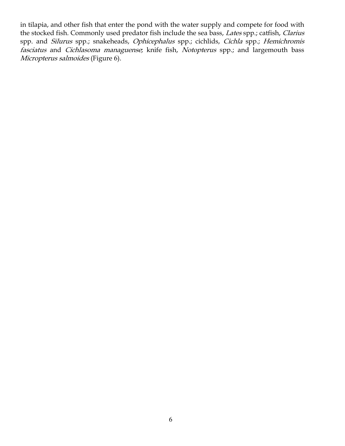in tilapia, and other fish that enter the pond with the water supply and compete for food with the stocked fish. Commonly used predator fish include the sea bass, Lates spp.; catfish, Clarius spp. and Silurus spp.; snakeheads, Ophicephalus spp.; cichlids, Cichla spp.; Hemichromis fasciatus and Cichlasoma managuense; knife fish, Notopterus spp.; and largemouth bass Micropterus salmoides (Figure 6).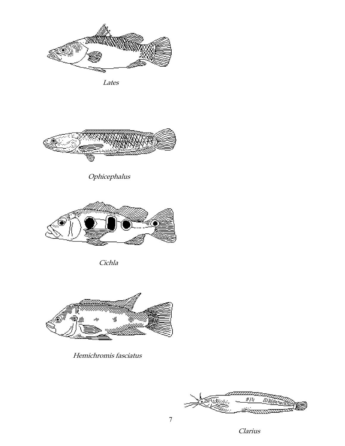

Lates



Ophicephalus



Cichla



Hemichromis fasciatus



Clarius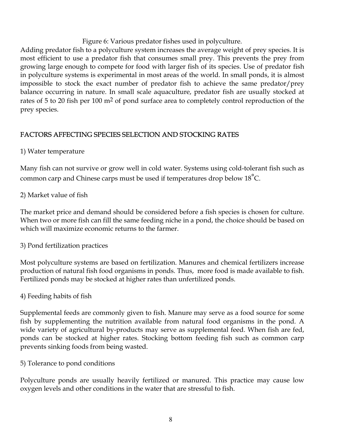Figure 6: Various predator fishes used in polyculture.

Adding predator fish to a polyculture system increases the average weight of prey species. It is most efficient to use a predator fish that consumes small prey. This prevents the prey from growing large enough to compete for food with larger fish of its species. Use of predator fish in polyculture systems is experimental in most areas of the world. In small ponds, it is almost impossible to stock the exact number of predator fish to achieve the same predator/prey balance occurring in nature. In small scale aquaculture, predator fish are usually stocked at rates of 5 to 20 fish per 100 m<sup>2</sup> of pond surface area to completely control reproduction of the prey species.

## FACTORS AFFECTING SPECIES SELECTION AND STOCKING RATES

## 1) Water temperature

Many fish can not survive or grow well in cold water. Systems using cold-tolerant fish such as common carp and Chinese carps must be used if temperatures drop below  $18^{\circ}$ C.

## 2) Market value of fish

The market price and demand should be considered before a fish species is chosen for culture. When two or more fish can fill the same feeding niche in a pond, the choice should be based on which will maximize economic returns to the farmer.

#### 3) Pond fertilization practices

Most polyculture systems are based on fertilization. Manures and chemical fertilizers increase production of natural fish food organisms in ponds. Thus, more food is made available to fish. Fertilized ponds may be stocked at higher rates than unfertilized ponds.

#### 4) Feeding habits of fish

Supplemental feeds are commonly given to fish. Manure may serve as a food source for some fish by supplementing the nutrition available from natural food organisms in the pond. A wide variety of agricultural by-products may serve as supplemental feed. When fish are fed, ponds can be stocked at higher rates. Stocking bottom feeding fish such as common carp prevents sinking foods from being wasted.

5) Tolerance to pond conditions

Polyculture ponds are usually heavily fertilized or manured. This practice may cause low oxygen levels and other conditions in the water that are stressful to fish.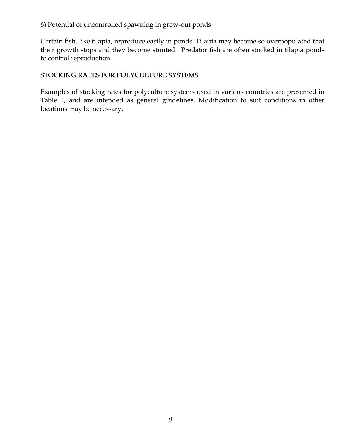6) Potential of uncontrolled spawning in grow-out ponds

Certain fish, like tilapia, reproduce easily in ponds. Tilapia may become so overpopulated that their growth stops and they become stunted. Predator fish are often stocked in tilapia ponds to control reproduction.

## STOCKING RATES FOR POLYCULTURE SYSTEMS

Examples of stocking rates for polyculture systems used in various countries are presented in Table 1, and are intended as general guidelines. Modification to suit conditions in other locations may be necessary.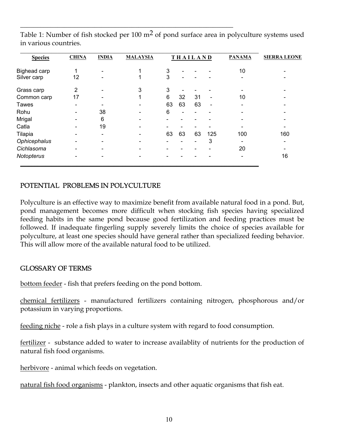| <b>Species</b> | <b>CHINA</b>             | <b>INDIA</b>                 | <b>MALAYSIA</b> |    |                          | <b>THAILAND</b> |                          | <b>PANAMA</b>            | <b>SIERRA LEONE</b> |
|----------------|--------------------------|------------------------------|-----------------|----|--------------------------|-----------------|--------------------------|--------------------------|---------------------|
| Bighead carp   | 1                        | $\overline{\phantom{a}}$     |                 | 3  |                          |                 |                          | 10                       |                     |
| Silver carp    | 12                       | $\qquad \qquad \blacksquare$ |                 | 3  | $\overline{\phantom{0}}$ |                 |                          | $\overline{\phantom{0}}$ |                     |
| Grass carp     | 2                        | -                            | 3               | 3  |                          |                 |                          |                          |                     |
| Common carp    | 17                       |                              | 1               | 6  | 32                       | 31              | $\overline{\phantom{0}}$ | 10                       |                     |
| <b>Tawes</b>   |                          |                              |                 | 63 | 63                       | 63              | $\overline{\phantom{a}}$ |                          |                     |
| Rohu           |                          | 38                           |                 | 6  |                          |                 |                          |                          |                     |
| Mrigal         |                          | 6                            |                 |    |                          |                 |                          |                          |                     |
| Catla          |                          | 19                           |                 |    |                          |                 |                          |                          |                     |
| Tilapia        | $\overline{\phantom{0}}$ | $\overline{\phantom{a}}$     |                 | 63 | 63                       | 63              | 125                      | 100                      | 160                 |
| Ophicephalus   | -                        | -                            |                 |    |                          |                 | 3                        |                          |                     |
| Cichlasoma     |                          | -                            |                 |    |                          |                 |                          | 20                       |                     |
| Notopterus     |                          |                              |                 |    |                          |                 |                          |                          | 16                  |

Table 1: Number of fish stocked per 100  $m<sup>2</sup>$  of pond surface area in polyculture systems used in various countries.

\_\_\_\_\_\_\_\_\_\_\_\_\_\_\_\_\_\_\_\_\_\_\_\_\_\_\_\_\_\_\_\_\_\_\_\_\_\_\_\_\_\_\_\_\_\_\_\_\_\_\_\_\_\_\_\_\_\_\_\_\_\_\_

#### POTENTIAL PROBLEMS IN POLYCULTURE

Polyculture is an effective way to maximize benefit from available natural food in a pond. But, pond management becomes more difficult when stocking fish species having specialized feeding habits in the same pond because good fertilization and feeding practices must be followed. If inadequate fingerling supply severely limits the choice of species available for polyculture, at least one species should have general rather than specialized feeding behavior. This will allow more of the available natural food to be utilized.

#### GLOSSARY OF TERMS

bottom feeder - fish that prefers feeding on the pond bottom.

chemical fertilizers - manufactured fertilizers containing nitrogen, phosphorous and/or potassium in varying proportions.

feeding niche - role a fish plays in a culture system with regard to food consumption.

fertilizer - substance added to water to increase availablity of nutrients for the production of natural fish food organisms.

herbivore - animal which feeds on vegetation.

natural fish food organisms - plankton, insects and other aquatic organisms that fish eat.